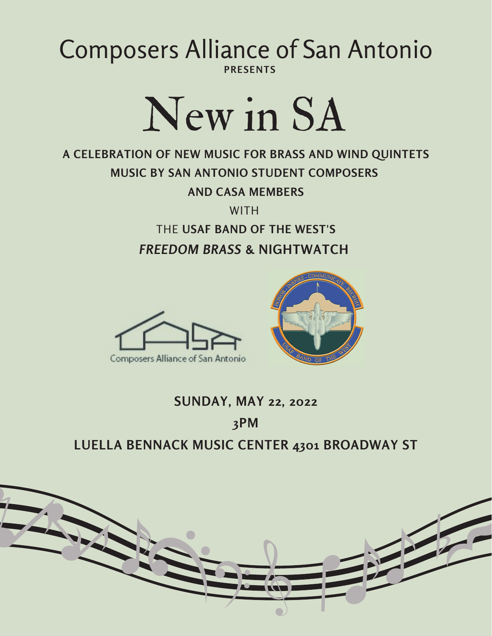## **PRESENTS** Composers Alliance of San Antonio



### **A CELEBRATION OF NEW MUSIC FOR BRASS AND WIND QUINTETS MUSIC BY SAN ANTONIO STUDENT COMPOSERS AND CASA MEMBERS**

**WITH** 

THE **USAF BAND OF THE WEST'S** *FREEDOM BRASS* **& NIGHTWATCH**



## **SUNDAY, MAY 22, 2022 3PM LUELLA BENNACK MUSIC CENTER 4301 BROADWAY ST**

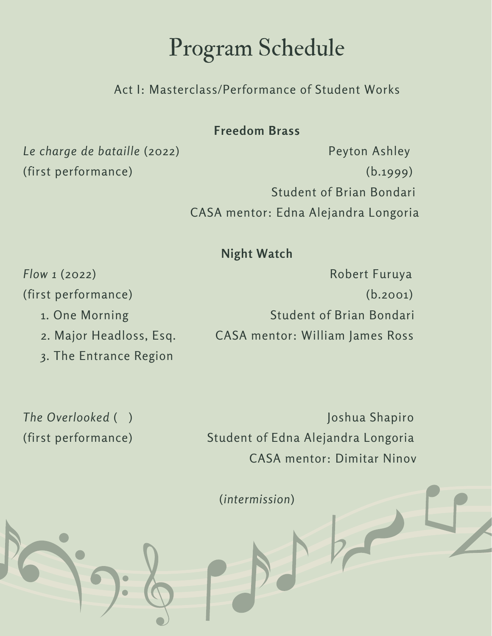## Program Schedule

Act I: Masterclass/Performance of Student Works

#### **Freedom Brass**

*Le charge de bataille* (2022) Peyton Ashley

(first performance) (b.1999) Student of Brian Bondari CASA mentor: Edna Alejandra Longoria

#### **Night Watch**

- 
- 
- 3. The Entrance Region

*Flow 1* (2022) **Robert Furuya** (first performance) (b.2001) 1. One Morning The Student of Brian Bondari 2. Major Headloss, Esq. CASA mentor: William James Ross

*The Overlooked* ( ) Joshua Shapiro (first performance) Student of Edna Alejandra Longoria CASA mentor: Dimitar Ninov

(*intermission*)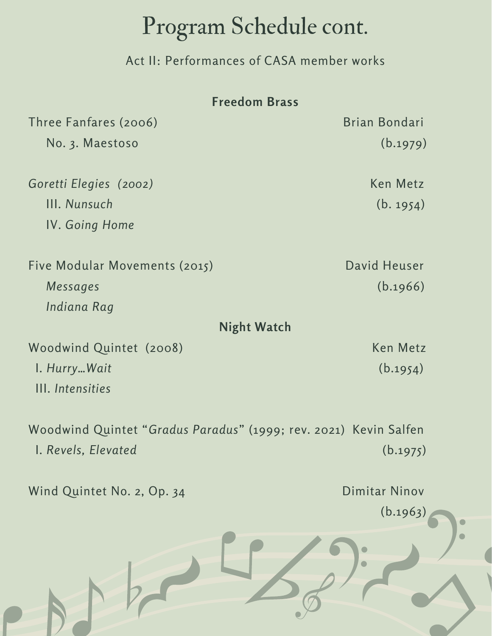# Program Schedule cont.

Act II: Performances of CASA member works

| <b>Freedom Brass</b>                                             |               |
|------------------------------------------------------------------|---------------|
| Three Fanfares (2006)                                            | Brian Bondari |
| No. 3. Maestoso                                                  | (b.1979)      |
| Goretti Elegies (2002)                                           | Ken Metz      |
| III. Nunsuch                                                     | (b. 1954)     |
| <b>IV. Going Home</b>                                            |               |
| Five Modular Movements (2015)                                    | David Heuser  |
| Messages                                                         | (b.1966)      |
| Indiana Rag                                                      |               |
| <b>Night Watch</b>                                               |               |
| Woodwind Quintet (2008)                                          | Ken Metz      |
| I. Hurry Wait                                                    | (b.1954)      |
| III. Intensities                                                 |               |
| Woodwind Quintet "Gradus Paradus" (1999; rev. 2021) Kevin Salfen |               |
| I. Revels, Elevated                                              | (b.1975)      |
| Wind Quintet No. 2, Op. 34                                       | Dimitar Ninov |
|                                                                  | (b.1963)      |
|                                                                  |               |

 $\bullet$  $\bullet$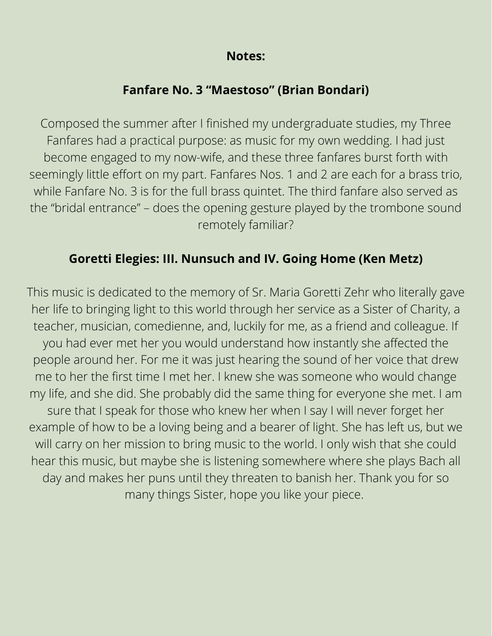#### **Notes:**

#### **Fanfare No. 3 "Maestoso" (Brian Bondari)**

Composed the summer after I finished my undergraduate studies, my Three Fanfares had a practical purpose: as music for my own wedding. I had just become engaged to my now-wife, and these three fanfares burst forth with seemingly little effort on my part. Fanfares Nos. 1 and 2 are each for a brass trio, while Fanfare No. 3 is for the full brass quintet. The third fanfare also served as the "bridal entrance" – does the opening gesture played by the trombone sound remotely familiar?

#### **Goretti Elegies: III. Nunsuch and IV. Going Home (Ken Metz)**

This music is dedicated to the memory of Sr. Maria Goretti Zehr who literally gave her life to bringing light to this world through her service as a Sister of Charity, a teacher, musician, comedienne, and, luckily for me, as a friend and colleague. If you had ever met her you would understand how instantly she affected the people around her. For me it was just hearing the sound of her voice that drew me to her the first time I met her. I knew she was someone who would change my life, and she did. She probably did the same thing for everyone she met. I am sure that I speak for those who knew her when I say I will never forget her example of how to be a loving being and a bearer of light. She has left us, but we will carry on her mission to bring music to the world. I only wish that she could hear this music, but maybe she is listening somewhere where she plays Bach all day and makes her puns until they threaten to banish her. Thank you for so many things Sister, hope you like your piece.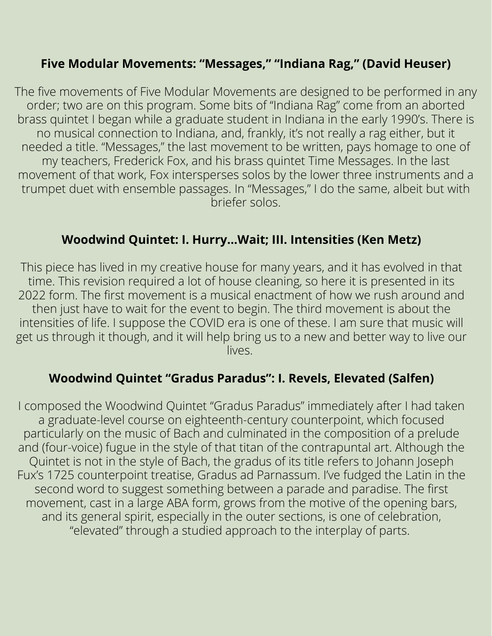#### **Five Modular Movements: "Messages," "Indiana Rag," (David Heuser)**

The five movements of Five Modular Movements are designed to be performed in any order; two are on this program. Some bits of "Indiana Rag" come from an aborted brass quintet I began while a graduate student in Indiana in the early 1990's. There is no musical connection to Indiana, and, frankly, it's not really a rag either, but it needed a title. "Messages," the last movement to be written, pays homage to one of my teachers, Frederick Fox, and his brass quintet Time Messages. In the last movement of that work, Fox intersperses solos by the lower three instruments and a trumpet duet with ensemble passages. In "Messages," I do the same, albeit but with briefer solos.

#### **Woodwind Quintet: I. Hurry…Wait; III. Intensities (Ken Metz)**

This piece has lived in my creative house for many years, and it has evolved in that time. This revision required a lot of house cleaning, so here it is presented in its 2022 form. The first movement is a musical enactment of how we rush around and then just have to wait for the event to begin. The third movement is about the intensities of life. I suppose the COVID era is one of these. I am sure that music will get us through it though, and it will help bring us to a new and better way to live our lives.

#### **Woodwind Quintet "Gradus Paradus": I. Revels, Elevated (Salfen)**

I composed the Woodwind Quintet "Gradus Paradus" immediately after I had taken a graduate-level course on eighteenth-century counterpoint, which focused particularly on the music of Bach and culminated in the composition of a prelude and (four-voice) fugue in the style of that titan of the contrapuntal art. Although the Quintet is not in the style of Bach, the gradus of its title refers to Johann Joseph Fux's 1725 counterpoint treatise, Gradus ad Parnassum. I've fudged the Latin in the second word to suggest something between a parade and paradise. The first movement, cast in a large ABA form, grows from the motive of the opening bars, and its general spirit, especially in the outer sections, is one of celebration, "elevated" through a studied approach to the interplay of parts.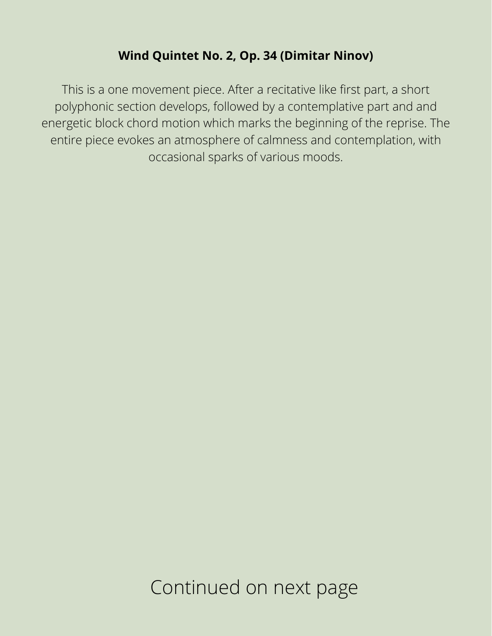#### **Wind Quintet No. 2, Op. 34 (Dimitar Ninov)**

This is a one movement piece. After a recitative like first part, a short polyphonic section develops, followed by a contemplative part and and energetic block chord motion which marks the beginning of the reprise. The entire piece evokes an atmosphere of calmness and contemplation, with occasional sparks of various moods.

Continued on next page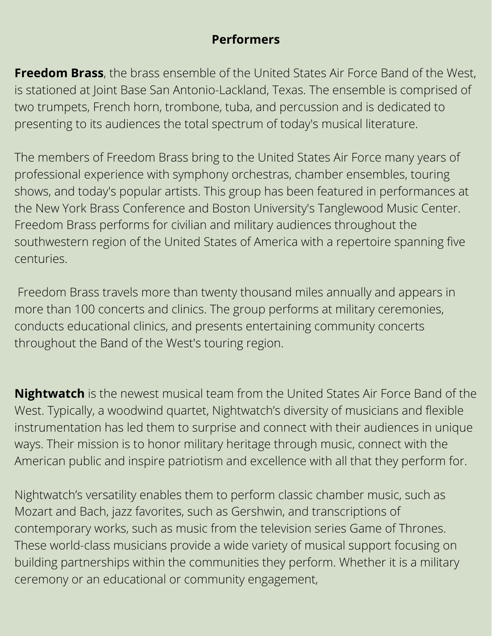#### **Performers**

**Freedom Brass**, the brass ensemble of the United States Air Force Band of the West, is stationed at Joint Base San Antonio-Lackland, Texas. The ensemble is comprised of two trumpets, French horn, trombone, tuba, and percussion and is dedicated to presenting to its audiences the total spectrum of today's musical literature.

The members of Freedom Brass bring to the United States Air Force many years of professional experience with symphony orchestras, chamber ensembles, touring shows, and today's popular artists. This group has been featured in performances at the New York Brass Conference and Boston University's Tanglewood Music Center. Freedom Brass performs for civilian and military audiences throughout the southwestern region of the United States of America with a repertoire spanning five centuries.

Freedom Brass travels more than twenty thousand miles annually and appears in more than 100 concerts and clinics. The group performs at military ceremonies, conducts educational clinics, and presents entertaining community concerts throughout the Band of the West's touring region.

**Nightwatch** is the newest musical team from the United States Air Force Band of the West. Typically, a woodwind quartet, Nightwatch's diversity of musicians and flexible instrumentation has led them to surprise and connect with their audiences in unique ways. Their mission is to honor military heritage through music, connect with the American public and inspire patriotism and excellence with all that they perform for.

Nightwatch's versatility enables them to perform classic chamber music, such as Mozart and Bach, jazz favorites, such as Gershwin, and transcriptions of contemporary works, such as music from the television series Game of Thrones. These world-class musicians provide a wide variety of musical support focusing on building partnerships within the communities they perform. Whether it is a military ceremony or an educational or community engagement,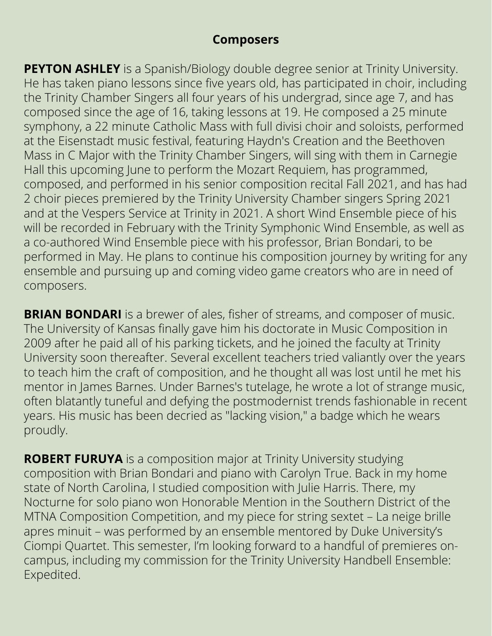#### **Composers**

**PEYTON ASHLEY** is a Spanish/Biology double degree senior at Trinity University. He has taken piano lessons since five years old, has participated in choir, including the Trinity Chamber Singers all four years of his undergrad, since age 7, and has composed since the age of 16, taking lessons at 19. He composed a 25 minute symphony, a 22 minute Catholic Mass with full divisi choir and soloists, performed at the Eisenstadt music festival, featuring Haydn's Creation and the Beethoven Mass in C Major with the Trinity Chamber Singers, will sing with them in Carnegie Hall this upcoming June to perform the Mozart Requiem, has programmed, composed, and performed in his senior composition recital Fall 2021, and has had 2 choir pieces premiered by the Trinity University Chamber singers Spring 2021 and at the Vespers Service at Trinity in 2021. A short Wind Ensemble piece of his will be recorded in February with the Trinity Symphonic Wind Ensemble, as well as a co-authored Wind Ensemble piece with his professor, Brian Bondari, to be performed in May. He plans to continue his composition journey by writing for any ensemble and pursuing up and coming video game creators who are in need of composers.

**BRIAN BONDARI** is a brewer of ales, fisher of streams, and composer of music. The University of Kansas finally gave him his doctorate in Music Composition in 2009 after he paid all of his parking tickets, and he joined the faculty at Trinity University soon thereafter. Several excellent teachers tried valiantly over the years to teach him the craft of composition, and he thought all was lost until he met his mentor in James Barnes. Under Barnes's tutelage, he wrote a lot of strange music, often blatantly tuneful and defying the postmodernist trends fashionable in recent years. His music has been decried as "lacking vision," a badge which he wears proudly.

**ROBERT FURUYA** is a composition major at Trinity University studying composition with Brian Bondari and piano with Carolyn True. Back in my home state of North Carolina, I studied composition with Julie Harris. There, my Nocturne for solo piano won Honorable Mention in the Southern District of the MTNA Composition Competition, and my piece for string sextet – La neige brille apres minuit – was performed by an ensemble mentored by Duke University's Ciompi Quartet. This semester, I'm looking forward to a handful of premieres oncampus, including my commission for the Trinity University Handbell Ensemble: Expedited.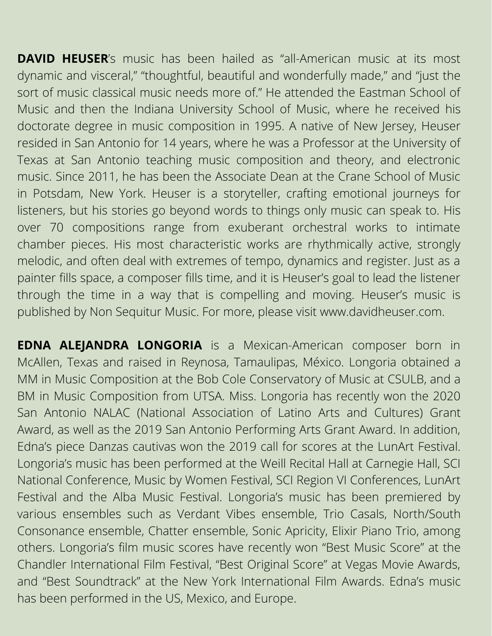**DAVID HEUSER's** music has been hailed as "all-American music at its most dynamic and visceral," "thoughtful, beautiful and wonderfully made," and "just the sort of music classical music needs more of." He attended the Eastman School of Music and then the Indiana University School of Music, where he received his doctorate degree in music composition in 1995. A native of New Jersey, Heuser resided in San Antonio for 14 years, where he was a Professor at the University of Texas at San Antonio teaching music composition and theory, and electronic music. Since 2011, he has been the Associate Dean at the Crane School of Music in Potsdam, New York. Heuser is a storyteller, crafting emotional journeys for listeners, but his stories go beyond words to things only music can speak to. His over 70 compositions range from exuberant orchestral works to intimate chamber pieces. His most characteristic works are rhythmically active, strongly melodic, and often deal with extremes of tempo, dynamics and register. Just as a painter fills space, a composer fills time, and it is Heuser's goal to lead the listener through the time in a way that is compelling and moving. Heuser's music is published by Non Sequitur Music. For more, please visit [www.davidheuser.com](http://www.davidheuser.com/).

**EDNA ALEJANDRA LONGORIA** is a Mexican-American composer born in McAllen, Texas and raised in Reynosa, Tamaulipas, México. Longoria obtained a MM in Music Composition at the Bob Cole Conservatory of Music at CSULB, and a BM in Music Composition from UTSA. Miss. Longoria has recently won the 2020 San Antonio NALAC (National Association of Latino Arts and Cultures) Grant Award, as well as the 2019 San Antonio Performing Arts Grant Award. In addition, Edna's piece Danzas cautivas won the 2019 call for scores at the LunArt Festival. Longoria's music has been performed at the Weill Recital Hall at Carnegie Hall, SCI National Conference, Music by Women Festival, SCI Region VI Conferences, LunArt Festival and the Alba Music Festival. Longoria's music has been premiered by various ensembles such as Verdant Vibes ensemble, Trio Casals, North/South Consonance ensemble, Chatter ensemble, Sonic Apricity, Elixir Piano Trio, among others. Longoria's film music scores have recently won "Best Music Score" at the Chandler International Film Festival, "Best Original Score" at Vegas Movie Awards, and "Best Soundtrack" at the New York International Film Awards. Edna's music has been performed in the US, Mexico, and Europe.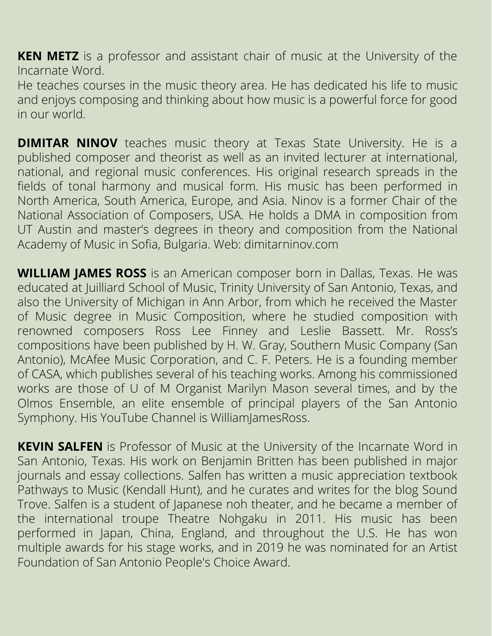**KEN METZ** is a professor and assistant chair of music at the University of the Incarnate Word.

He teaches courses in the music theory area. He has dedicated his life to music and enjoys composing and thinking about how music is a powerful force for good in our world.

**DIMITAR NINOV** teaches music theory at Texas State University. He is a published composer and theorist as well as an invited lecturer at international, national, and regional music conferences. His original research spreads in the fields of tonal harmony and musical form. His music has been performed in North America, South America, Europe, and Asia. Ninov is a former Chair of the National Association of Composers, USA. He holds a DMA in composition from UT Austin and master's degrees in theory and composition from the National Academy of Music in Sofia, Bulgaria. Web: dimitarninov.com

**WILLIAM JAMES ROSS** is an American composer born in Dallas, Texas. He was educated at Juilliard School of Music, Trinity University of San Antonio, Texas, and also the University of Michigan in Ann Arbor, from which he received the Master of Music degree in Music Composition, where he studied composition with renowned composers Ross Lee Finney and Leslie Bassett. Mr. Ross's compositions have been published by H. W. Gray, Southern Music Company (San Antonio), McAfee Music Corporation, and C. F. Peters. He is a founding member of CASA, which publishes several of his teaching works. Among his commissioned works are those of U of M Organist Marilyn Mason several times, and by the Olmos Ensemble, an elite ensemble of principal players of the San Antonio Symphony. His YouTube Channel is William ames Ross.

**KEVIN SALFEN** is Professor of Music at the University of the Incarnate Word in San Antonio, Texas. His work on Benjamin Britten has been published in major journals and essay collections. Salfen has written a music appreciation textbook Pathways to Music (Kendall Hunt), and he curates and writes for the blog Sound Trove. Salfen is a student of Japanese noh theater, and he became a member of the international troupe Theatre Nohgaku in 2011. His music has been performed in Japan, China, England, and throughout the U.S. He has won multiple awards for his stage works, and in 2019 he was nominated for an Artist Foundation of San Antonio People's Choice Award.